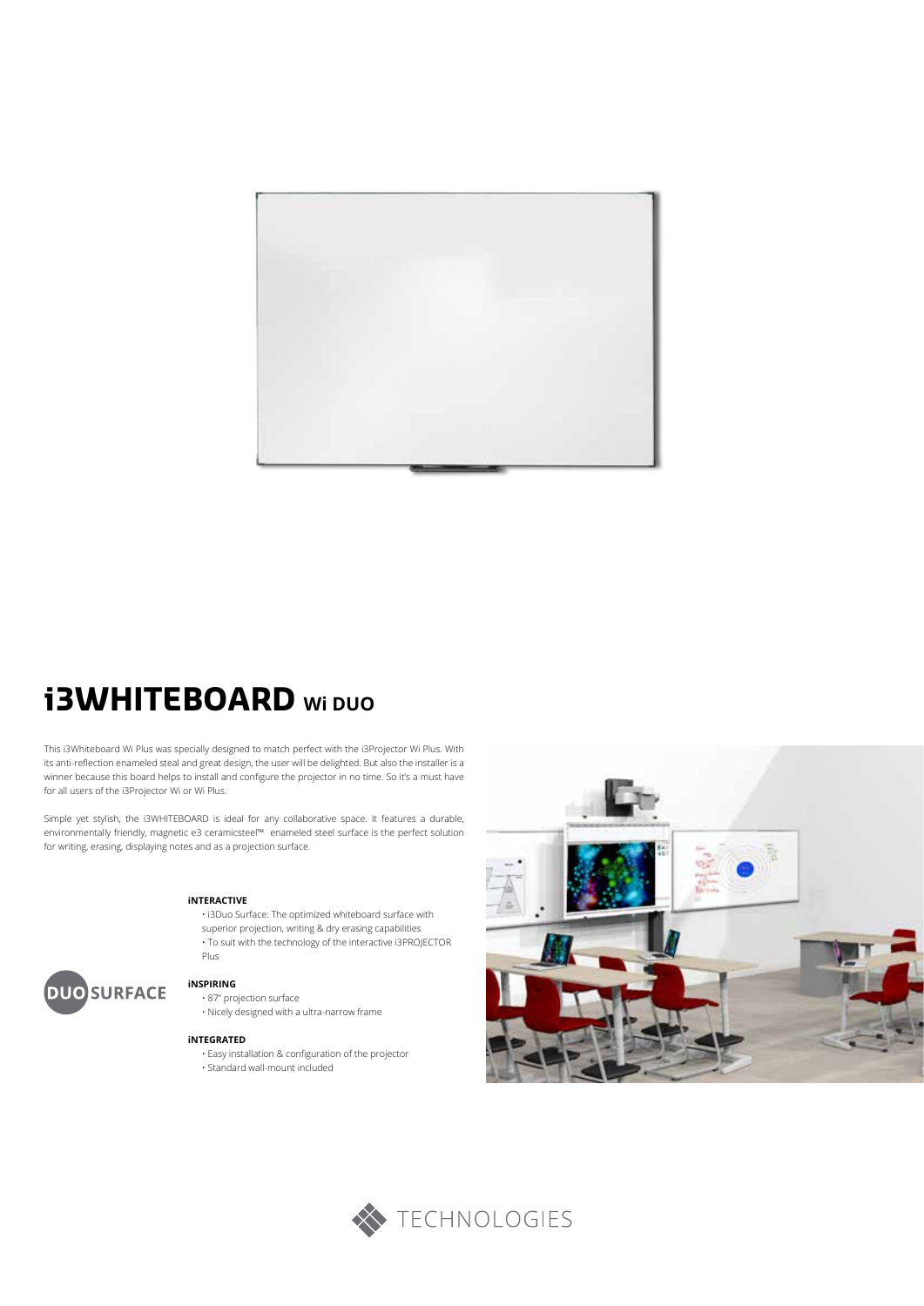

# **i3WHITEBOARD Wi DUO**

This i3Whiteboard Wi Plus was specially designed to match perfect with the i3Projector Wi Plus. With its anti-reflection enameled steal and great design, the user will be delighted. But also the installer is a winner because this board helps to install and configure the projector in no time. So it's a must have for all users of the i3Projector Wi or Wi Plus.

Simple yet stylish, the i3WHITEBOARD is ideal for any collaborative space. It features a durable, environmentally friendly, magnetic e3 ceramicsteel™ enameled steel surface is the perfect solution for writing, erasing, displaying notes and as a projection surface.

#### **iNTERACTIVE**

• i3Duo Surface: The optimized whiteboard surface with superior projection, writing & dry erasing capabilities • To suit with the technology of the interactive i3PROJECTOR Plus



## **iNSPIRING**

• 87" projection surface

• Nicely designed with a ultra-narrow frame

#### **iNTEGRATED**

- Easy installation & configuration of the projector • Standard wall-mount included
	-